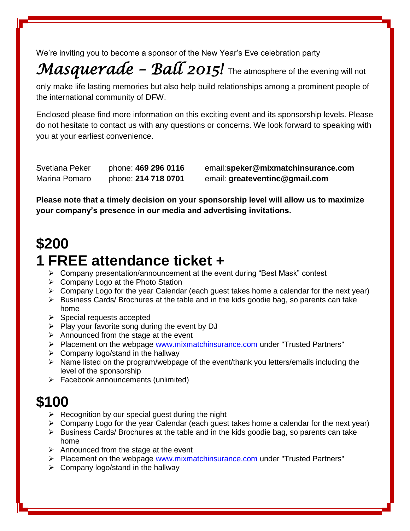We're inviting you to become a sponsor of the New Year's Eve celebration party

# *Masquerade – Ball 2015!* The atmosphere of the evening will not

only make life lasting memories but also help build relationships among a prominent people of the international community of DFW.

Enclosed please find more information on this exciting event and its sponsorship levels. Please do not hesitate to contact us with any questions or concerns. We look forward to speaking with you at your earliest convenience.

Marina Pomaro phone: **214 718 0701** email: **greateventinc@gmail.com**

Svetlana Peker phone: **469 296 0116** email:**speker@mixmatchinsurance.com**

**Please note that a timely decision on your sponsorship level will allow us to maximize your company's presence in our media and advertising invitations.**

### **\$200**

#### **1 FREE attendance ticket +**

- Company presentation/announcement at the event during "Best Mask" contest
- $\triangleright$  Company Logo at the Photo Station
- $\triangleright$  Company Logo for the year Calendar (each guest takes home a calendar for the next year)
- $\triangleright$  Business Cards/ Brochures at the table and in the kids goodie bag, so parents can take home
- $\triangleright$  Special requests accepted
- $\triangleright$  Play your favorite song during the event by DJ
- $\triangleright$  Announced from the stage at the event
- Placement on the webpage www.mixmatchinsurance.com under "Trusted Partners"
- $\triangleright$  Company logo/stand in the hallway
- $\triangleright$  Name listed on the program/webpage of the event/thank you letters/emails including the level of the sponsorship
- $\triangleright$  Facebook announcements (unlimited)

## **\$100**

- $\triangleright$  Recognition by our special guest during the night
- $\triangleright$  Company Logo for the year Calendar (each guest takes home a calendar for the next year)
- $\triangleright$  Business Cards/ Brochures at the table and in the kids goodie bag, so parents can take home
- $\triangleright$  Announced from the stage at the event
- $\triangleright$  Placement on the webpage www.mixmatchinsurance.com under "Trusted Partners"
- $\triangleright$  Company logo/stand in the hallway